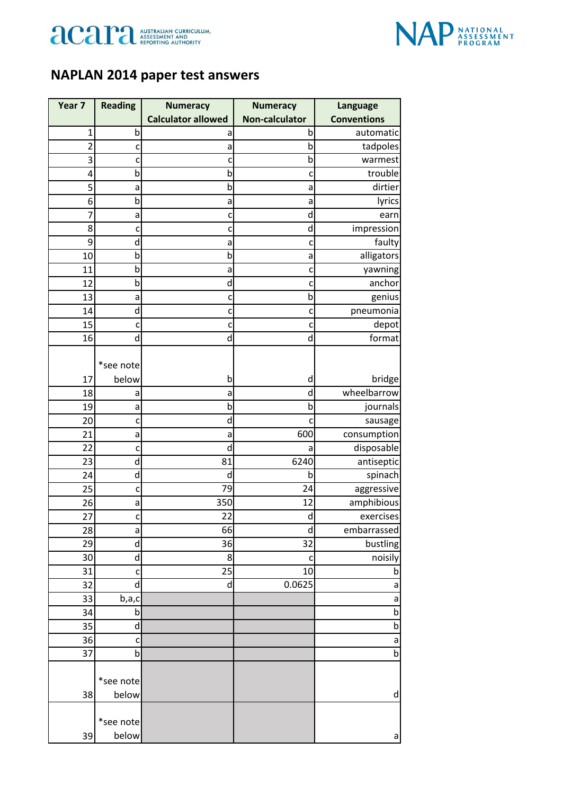



## **NAPLAN 2014 paper test answers**

| Year 7         | <b>Reading</b> | <b>Numeracy</b>           | <b>Numeracy</b>       | <b>Language</b>          |
|----------------|----------------|---------------------------|-----------------------|--------------------------|
|                |                | <b>Calculator allowed</b> | <b>Non-calculator</b> | <b>Conventions</b>       |
| 1              | b              | a                         | b                     | automatic                |
| $\overline{2}$ | $\mathsf{C}$   | a                         | b                     | tadpoles                 |
| 3              | C              | c                         | b                     | warmest                  |
| 4              | b              | b                         | c                     | trouble                  |
| 5              | а              | b                         | a                     | dirtier                  |
| 6              | b              | a                         | a                     | lyrics                   |
| 7              | a              | c                         | d                     | earn                     |
| 8              | C              | C                         | d                     | impression               |
| 9              | d              | a                         | c                     | faulty                   |
| 10             | b              | b                         | a                     | alligators               |
| 11             | $\mathsf b$    | a                         | c                     | yawning                  |
| 12             | $\mathsf b$    | d                         | c                     | anchor                   |
| 13             | a              | c                         | b                     | genius                   |
| 14             | d              | $\mathsf{C}$              | C                     | pneumonia                |
| 15             | c              | $\mathsf{C}$              | c                     | depot                    |
| 16             | $\mathsf{d}$   | d                         | d                     | format                   |
|                |                |                           |                       |                          |
|                | *see note      |                           |                       |                          |
| 17             | below          | b                         | d                     | bridge                   |
| 18             | а              | a                         | d                     | wheelbarrow              |
| 19             | a              | b                         | b                     | journals                 |
| 20             | c              | d                         | c                     | sausage                  |
| 21             | a              | a<br>d                    | 600                   | consumption              |
| 22<br>23       | c<br>d         | 81                        | a<br>6240             | disposable<br>antiseptic |
| 24             | d              | d                         | b                     | spinach                  |
| 25             | C              | 79                        | 24                    | aggressive               |
| 26             | a              | 350                       | 12                    | amphibious               |
| 27             | c              | 22                        | d                     | exercises                |
| 28             | a              | 66                        | d                     | embarrassed              |
| 29             | ${\sf d}$      | 36                        | 32                    | bustling                 |
| 30             | d              | 8                         | c                     | noisily                  |
| 31             | $\mathsf{C}$   | 25                        | 10                    | b                        |
| 32             | $\sf d$        | $\mathsf{d}$              | 0.0625                | a                        |
| 33             | b,a,c          |                           |                       | a                        |
| 34             | b              |                           |                       | $\mathsf b$              |
| 35             | d              |                           |                       | $\overline{b}$           |
| 36             | C              |                           |                       | a                        |
| 37             | b              |                           |                       | $\mathsf b$              |
|                |                |                           |                       |                          |
|                | *see note      |                           |                       |                          |
| 38             | below          |                           |                       | d                        |
|                | *see note      |                           |                       |                          |
| 39             | below          |                           |                       | a                        |